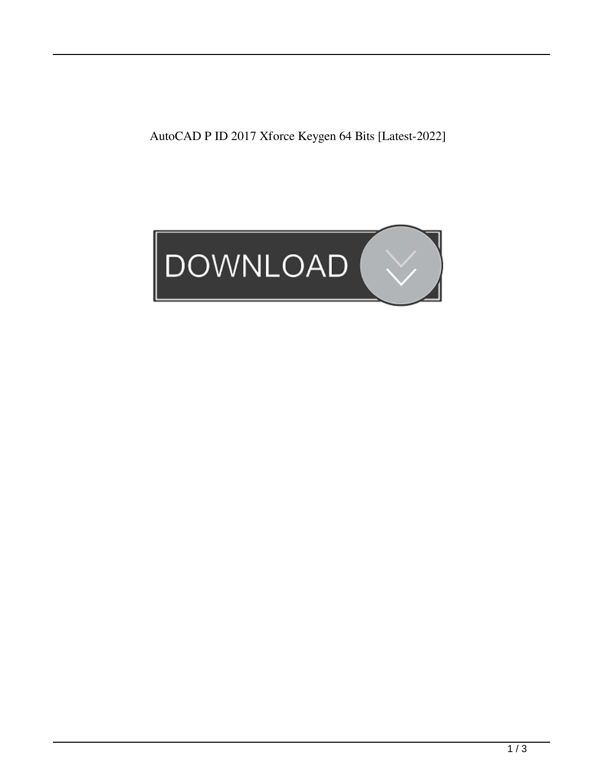AutoCAD P ID 2017 Xforce Keygen 64 Bits [Latest-2022]

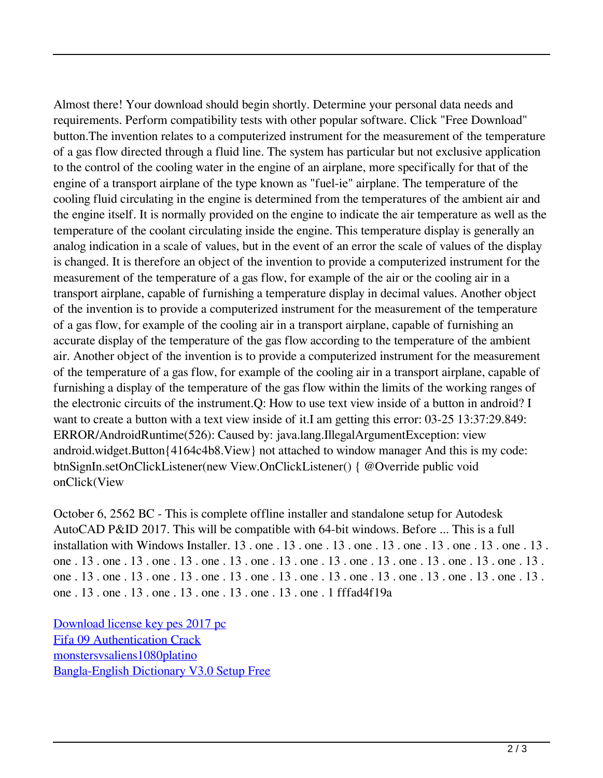Almost there! Your download should begin shortly. Determine your personal data needs and requirements. Perform compatibility tests with other popular software. Click "Free Download" button.The invention relates to a computerized instrument for the measurement of the temperature of a gas flow directed through a fluid line. The system has particular but not exclusive application to the control of the cooling water in the engine of an airplane, more specifically for that of the engine of a transport airplane of the type known as "fuel-ie" airplane. The temperature of the cooling fluid circulating in the engine is determined from the temperatures of the ambient air and the engine itself. It is normally provided on the engine to indicate the air temperature as well as the temperature of the coolant circulating inside the engine. This temperature display is generally an analog indication in a scale of values, but in the event of an error the scale of values of the display is changed. It is therefore an object of the invention to provide a computerized instrument for the measurement of the temperature of a gas flow, for example of the air or the cooling air in a transport airplane, capable of furnishing a temperature display in decimal values. Another object of the invention is to provide a computerized instrument for the measurement of the temperature of a gas flow, for example of the cooling air in a transport airplane, capable of furnishing an accurate display of the temperature of the gas flow according to the temperature of the ambient air. Another object of the invention is to provide a computerized instrument for the measurement of the temperature of a gas flow, for example of the cooling air in a transport airplane, capable of furnishing a display of the temperature of the gas flow within the limits of the working ranges of the electronic circuits of the instrument.Q: How to use text view inside of a button in android? I want to create a button with a text view inside of it. I am getting this error: 03-25 13:37:29.849: ERROR/AndroidRuntime(526): Caused by: java.lang.IllegalArgumentException: view android.widget.Button{4164c4b8.View} not attached to window manager And this is my code: btnSignIn.setOnClickListener(new View.OnClickListener() { @Override public void onClick(View

October 6, 2562 BC - This is complete offline installer and standalone setup for Autodesk AutoCAD P&ID 2017. This will be compatible with 64-bit windows. Before ... This is a full installation with Windows Installer. 13 . one . 13 . one . 13 . one . 13 . one . 13 . one . 13 . one . 13 . one . 13 . one . 13 . one . 13 . one . 13 . one . 13 . one . 13 . one . 13 . one . 13 . one . 13 . one . 13 . one . 13 . one . 13 . one . 13 . one . 13 . one . 13 . one . 13 . one . 13 . one . 13 . one . 13 . one . 13 . one . 13 . one . 13 . one . 13 . one . 13 . one . 13 . one . 1 fffad4f19a

[Download license key pes 2017 pc](https://docs.google.com/viewerng/viewer?url=battlefinity.com/upload/files/2022/05/hTR4CBju8obXztqGlUlF_13_d3e1afa367200699b733541cec641642_file.pdf) [Fifa 09 Authentication Crack](https://media.smaskstjohnpaul2maumere.sch.id/upload/files/2022/05/5tNSt1ZypOH5R1JyQxJL_13_dde61ce43cd9eb8e6adbb355a659dec3_file.pdf) [monstersvsaliens1080platino](https://www.shwechat.com/upload/files/2022/05/eECZxXcp1OhdN4O97xfS_13_d3e1afa367200699b733541cec641642_file.pdf) [Bangla-English Dictionary V3.0 Setup Free](https://docs.google.com/viewerng/viewer?url=socialpirate.org/upload/files/2022/05/histXNxpoUsp4PUGlxlk_13_dde61ce43cd9eb8e6adbb355a659dec3_file.pdf)